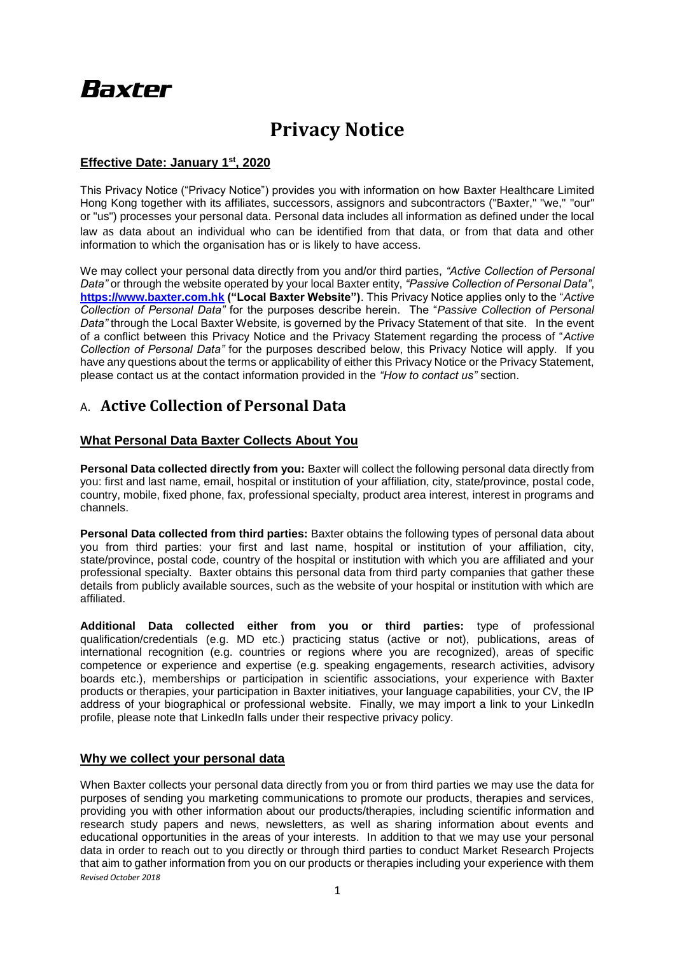# **Baxter**

## **Privacy Notice**

#### **Effective Date: January 1st, 2020**

This Privacy Notice ("Privacy Notice") provides you with information on how Baxter Healthcare Limited Hong Kong together with its affiliates, successors, assignors and subcontractors ("Baxter," "we," "our" or "us") processes your personal data. Personal data includes all information as defined under the local law as data about an individual who can be identified from that data, or from that data and other information to which the organisation has or is likely to have access.

We may collect your personal data directly from you and/or third parties, *"Active Collection of Personal Data"* or through the website operated by your local Baxter entity, *"Passive Collection of Personal Data"*, **[https://www.baxter.com.hk](https://www.baxter.com.hk/) ("Local Baxter Website")**. This Privacy Notice applies only to the "*Active Collection of Personal Data"* for the purposes describe herein. The "*Passive Collection of Personal Data"* through the Local Baxter Website*,* is governed by the Privacy Statement of that site. In the event of a conflict between this Privacy Notice and the Privacy Statement regarding the process of "*Active Collection of Personal Data"* for the purposes described below, this Privacy Notice will apply. If you have any questions about the terms or applicability of either this Privacy Notice or the Privacy Statement, please contact us at the contact information provided in the *"How to contact us"* section.

### A. **Active Collection of Personal Data**

#### **What Personal Data Baxter Collects About You**

**Personal Data collected directly from you:** Baxter will collect the following personal data directly from you: first and last name, email, hospital or institution of your affiliation, city, state/province, postal code, country, mobile, fixed phone, fax, professional specialty, product area interest, interest in programs and channels.

**Personal Data collected from third parties:** Baxter obtains the following types of personal data about you from third parties: your first and last name, hospital or institution of your affiliation, city, state/province, postal code, country of the hospital or institution with which you are affiliated and your professional specialty. Baxter obtains this personal data from third party companies that gather these details from publicly available sources, such as the website of your hospital or institution with which are affiliated.

**Additional Data collected either from you or third parties:** type of professional qualification/credentials (e.g. MD etc.) practicing status (active or not), publications, areas of international recognition (e.g. countries or regions where you are recognized), areas of specific competence or experience and expertise (e.g. speaking engagements, research activities, advisory boards etc.), memberships or participation in scientific associations, your experience with Baxter products or therapies, your participation in Baxter initiatives, your language capabilities, your CV, the IP address of your biographical or professional website. Finally, we may import a link to your LinkedIn profile, please note that LinkedIn falls under their respective privacy policy.

#### **Why we collect your personal data**

*Revised October 2018* When Baxter collects your personal data directly from you or from third parties we may use the data for purposes of sending you marketing communications to promote our products, therapies and services, providing you with other information about our products/therapies, including scientific information and research study papers and news, newsletters, as well as sharing information about events and educational opportunities in the areas of your interests. In addition to that we may use your personal data in order to reach out to you directly or through third parties to conduct Market Research Projects that aim to gather information from you on our products or therapies including your experience with them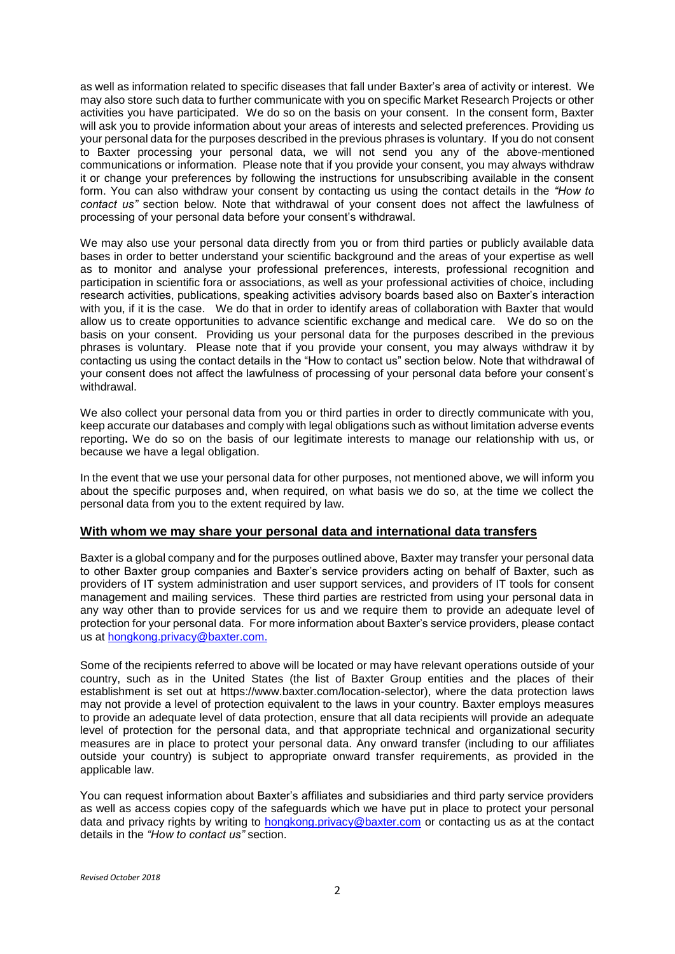as well as information related to specific diseases that fall under Baxter's area of activity or interest. We may also store such data to further communicate with you on specific Market Research Projects or other activities you have participated. We do so on the basis on your consent. In the consent form, Baxter will ask you to provide information about your areas of interests and selected preferences. Providing us your personal data for the purposes described in the previous phrases is voluntary. If you do not consent to Baxter processing your personal data, we will not send you any of the above-mentioned communications or information. Please note that if you provide your consent, you may always withdraw it or change your preferences by following the instructions for unsubscribing available in the consent form. You can also withdraw your consent by contacting us using the contact details in the *"How to contact us"* section below. Note that withdrawal of your consent does not affect the lawfulness of processing of your personal data before your consent's withdrawal.

We may also use your personal data directly from you or from third parties or publicly available data bases in order to better understand your scientific background and the areas of your expertise as well as to monitor and analyse your professional preferences, interests, professional recognition and participation in scientific fora or associations, as well as your professional activities of choice, including research activities, publications, speaking activities advisory boards based also on Baxter's interaction with you, if it is the case. We do that in order to identify areas of collaboration with Baxter that would allow us to create opportunities to advance scientific exchange and medical care. We do so on the basis on your consent. Providing us your personal data for the purposes described in the previous phrases is voluntary. Please note that if you provide your consent, you may always withdraw it by contacting us using the contact details in the "How to contact us" section below. Note that withdrawal of your consent does not affect the lawfulness of processing of your personal data before your consent's withdrawal.

We also collect your personal data from you or third parties in order to directly communicate with you, keep accurate our databases and comply with legal obligations such as without limitation adverse events reporting**.** We do so on the basis of our legitimate interests to manage our relationship with us, or because we have a legal obligation.

In the event that we use your personal data for other purposes, not mentioned above, we will inform you about the specific purposes and, when required, on what basis we do so, at the time we collect the personal data from you to the extent required by law.

#### **With whom we may share your personal data and international data transfers**

Baxter is a global company and for the purposes outlined above, Baxter may transfer your personal data to other Baxter group companies and Baxter's service providers acting on behalf of Baxter, such as providers of IT system administration and user support services, and providers of IT tools for consent management and mailing services. These third parties are restricted from using your personal data in any way other than to provide services for us and we require them to provide an adequate level of protection for your personal data. For more information about Baxter's service providers, please contact us at hongkong.privacy@baxter.com.

Some of the recipients referred to above will be located or may have relevant operations outside of your country, such as in the United States (the list of Baxter Group entities and the places of their establishment is set out at https://www.baxter.com/location-selector), where the data protection laws may not provide a level of protection equivalent to the laws in your country. Baxter employs measures to provide an adequate level of data protection, ensure that all data recipients will provide an adequate level of protection for the personal data, and that appropriate technical and organizational security measures are in place to protect your personal data. Any onward transfer (including to our affiliates outside your country) is subject to appropriate onward transfer requirements, as provided in the applicable law.

You can request information about Baxter's affiliates and subsidiaries and third party service providers as well as access copies copy of the safeguards which we have put in place to protect your personal data and privacy rights by writing to [hongkong.privacy@baxter.com](mailto:hongkong.privacy@baxter.com) or contacting us as at the contact details in the *"How to contact us"* section.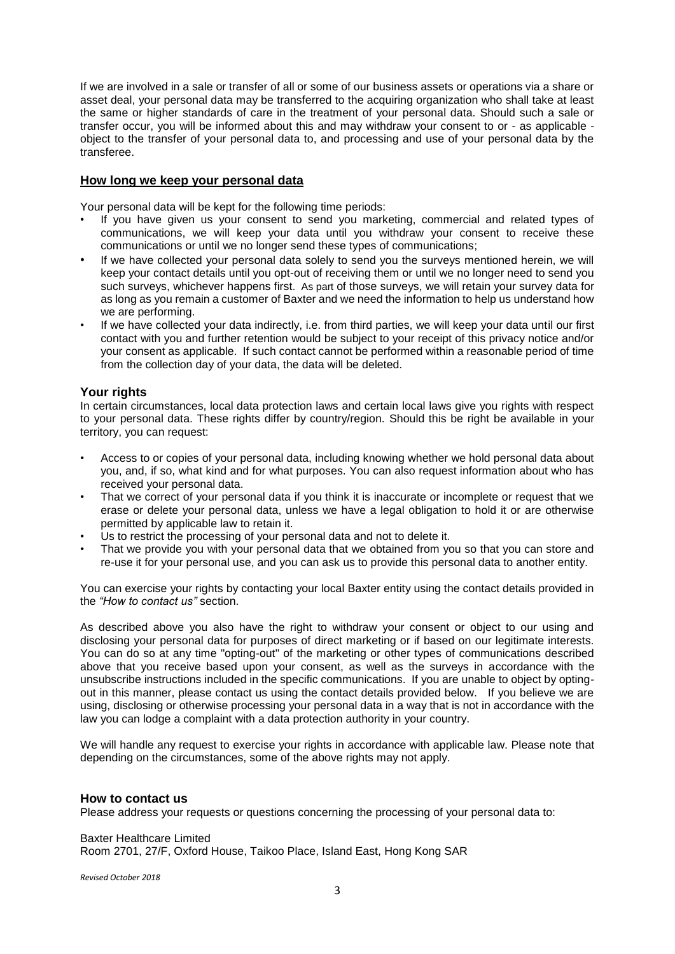If we are involved in a sale or transfer of all or some of our business assets or operations via a share or asset deal, your personal data may be transferred to the acquiring organization who shall take at least the same or higher standards of care in the treatment of your personal data. Should such a sale or transfer occur, you will be informed about this and may withdraw your consent to or - as applicable object to the transfer of your personal data to, and processing and use of your personal data by the transferee.

#### **How long we keep your personal data**

Your personal data will be kept for the following time periods:

- If you have given us your consent to send you marketing, commercial and related types of communications, we will keep your data until you withdraw your consent to receive these communications or until we no longer send these types of communications;
- If we have collected your personal data solely to send you the surveys mentioned herein, we will keep your contact details until you opt-out of receiving them or until we no longer need to send you such surveys, whichever happens first. As part of those surveys, we will retain your survey data for as long as you remain a customer of Baxter and we need the information to help us understand how we are performing.
- If we have collected your data indirectly, i.e. from third parties, we will keep your data until our first contact with you and further retention would be subject to your receipt of this privacy notice and/or your consent as applicable. If such contact cannot be performed within a reasonable period of time from the collection day of your data, the data will be deleted.

#### **Your rights**

In certain circumstances, local data protection laws and certain local laws give you rights with respect to your personal data. These rights differ by country/region. Should this be right be available in your territory, you can request:

- Access to or copies of your personal data, including knowing whether we hold personal data about you, and, if so, what kind and for what purposes. You can also request information about who has received your personal data.
- That we correct of your personal data if you think it is inaccurate or incomplete or request that we erase or delete your personal data, unless we have a legal obligation to hold it or are otherwise permitted by applicable law to retain it.
- Us to restrict the processing of your personal data and not to delete it.
- That we provide you with your personal data that we obtained from you so that you can store and re-use it for your personal use, and you can ask us to provide this personal data to another entity.

You can exercise your rights by contacting your local Baxter entity using the contact details provided in the *"How to contact us"* section.

As described above you also have the right to withdraw your consent or object to our using and disclosing your personal data for purposes of direct marketing or if based on our legitimate interests. You can do so at any time "opting-out" of the marketing or other types of communications described above that you receive based upon your consent, as well as the surveys in accordance with the unsubscribe instructions included in the specific communications. If you are unable to object by optingout in this manner, please contact us using the contact details provided below. If you believe we are using, disclosing or otherwise processing your personal data in a way that is not in accordance with the law you can lodge a complaint with a data protection authority in your country.

We will handle any request to exercise your rights in accordance with applicable law. Please note that depending on the circumstances, some of the above rights may not apply.

#### **How to contact us**

Please address your requests or questions concerning the processing of your personal data to:

Baxter Healthcare Limited Room 2701, 27/F, Oxford House, Taikoo Place, Island East, Hong Kong SAR

*Revised October 2018*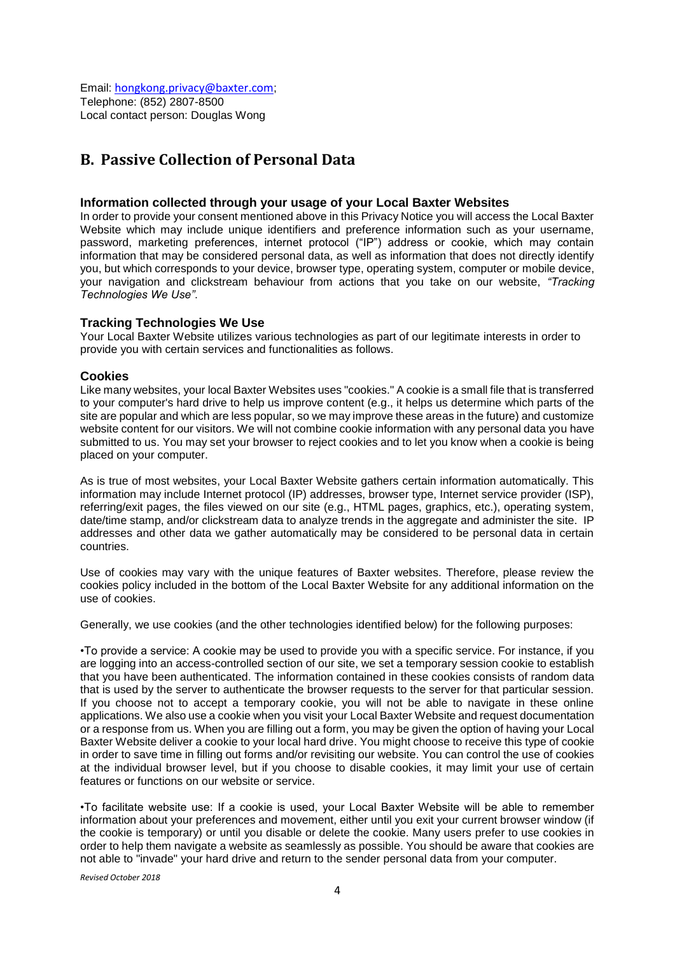Email: [hongkong.privacy@baxter.com](mailto:hongkong.privacy@baxter.com); Telephone: (852) 2807-8500 Local contact person: Douglas Wong

## **B. Passive Collection of Personal Data**

#### **Information collected through your usage of your Local Baxter Websites**

In order to provide your consent mentioned above in this Privacy Notice you will access the Local Baxter Website which may include unique identifiers and preference information such as your username, password, marketing preferences, internet protocol ("IP") address or cookie, which may contain information that may be considered personal data, as well as information that does not directly identify you, but which corresponds to your device, browser type, operating system, computer or mobile device, your navigation and clickstream behaviour from actions that you take on our website, *"Tracking Technologies We Use"*.

#### **Tracking Technologies We Use**

Your Local Baxter Website utilizes various technologies as part of our legitimate interests in order to provide you with certain services and functionalities as follows.

#### **Cookies**

Like many websites, your local Baxter Websites uses "cookies." A cookie is a small file that is transferred to your computer's hard drive to help us improve content (e.g., it helps us determine which parts of the site are popular and which are less popular, so we may improve these areas in the future) and customize website content for our visitors. We will not combine cookie information with any personal data you have submitted to us. You may set your browser to reject cookies and to let you know when a cookie is being placed on your computer.

As is true of most websites, your Local Baxter Website gathers certain information automatically. This information may include Internet protocol (IP) addresses, browser type, Internet service provider (ISP), referring/exit pages, the files viewed on our site (e.g., HTML pages, graphics, etc.), operating system, date/time stamp, and/or clickstream data to analyze trends in the aggregate and administer the site. IP addresses and other data we gather automatically may be considered to be personal data in certain countries.

Use of cookies may vary with the unique features of Baxter websites. Therefore, please review the cookies policy included in the bottom of the Local Baxter Website for any additional information on the use of cookies.

Generally, we use cookies (and the other technologies identified below) for the following purposes:

•To provide a service: A cookie may be used to provide you with a specific service. For instance, if you are logging into an access-controlled section of our site, we set a temporary session cookie to establish that you have been authenticated. The information contained in these cookies consists of random data that is used by the server to authenticate the browser requests to the server for that particular session. If you choose not to accept a temporary cookie, you will not be able to navigate in these online applications. We also use a cookie when you visit your Local Baxter Website and request documentation or a response from us. When you are filling out a form, you may be given the option of having your Local Baxter Website deliver a cookie to your local hard drive. You might choose to receive this type of cookie in order to save time in filling out forms and/or revisiting our website. You can control the use of cookies at the individual browser level, but if you choose to disable cookies, it may limit your use of certain features or functions on our website or service.

•To facilitate website use: If a cookie is used, your Local Baxter Website will be able to remember information about your preferences and movement, either until you exit your current browser window (if the cookie is temporary) or until you disable or delete the cookie. Many users prefer to use cookies in order to help them navigate a website as seamlessly as possible. You should be aware that cookies are not able to "invade" your hard drive and return to the sender personal data from your computer.

*Revised October 2018*